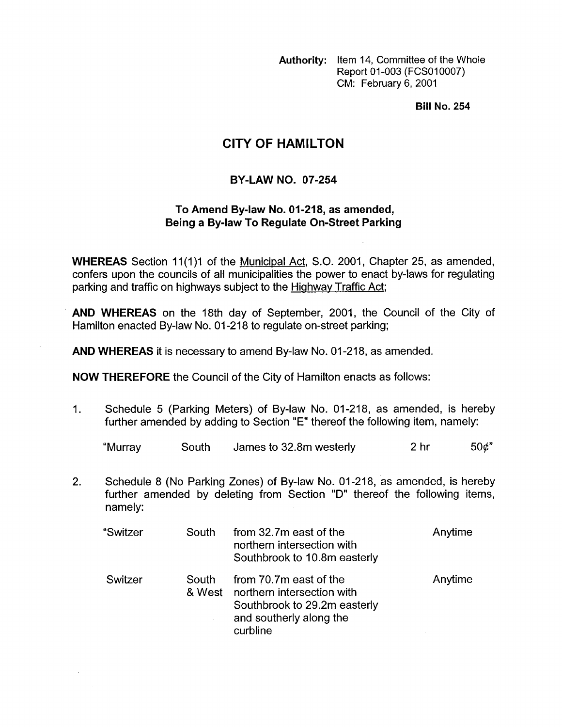**Authority:** Item 14, Committee of the Whole Report 01-003 (FCS010007) CM: February 6, 2001

**Bill No. 254** 

## **CITY OF HAMILTON**

## **BY-LAW NO. 07-254**

## **To Amend Bylaw No. 01-218, as amended, Being a By-law To Regulate On-Street Parking**

**WHEREAS** Section 11(1)1 of the Municipal Act, S.O. 2001, Chapter 25, as amended, confers upon the councils of all municipalities the power to enact by-laws for regulating parking and traffic on highways subject to the Highway Traffic Act;

**AND WHEREAS** on the 18th day of September, 2001, the Council of the City of Hamilton enacted By-law No. 01-218 to regulate on-street parking;

**AND WHEREAS** it is necessary to amend By-law No. 01-218, as amended.

**NOW THEREFORE** the Council of the City of Hamilton enacts as follows:

1. Schedule 5 (Parking Meters) of By-law No. 01-218, as amended, is hereby further amended by adding to Section "E" thereof the following item, namely:

| "Murray | South | James to 32.8m westerly | 2 <sub>hr</sub> | 50¢" |
|---------|-------|-------------------------|-----------------|------|
|---------|-------|-------------------------|-----------------|------|

2. Schedule 8 (No Parking Zones) of By-law No. 01-218, as amended, is hereby further amended by deleting from Section "D" thereof the following items, namely:

| "Switzer | South | from 32.7m east of the<br>northern intersection with<br>Southbrook to 10.8m easterly                                               | Anytime |
|----------|-------|------------------------------------------------------------------------------------------------------------------------------------|---------|
| Switzer  | South | from 70.7m east of the<br>& West northern intersection with<br>Southbrook to 29.2m easterly<br>and southerly along the<br>curbline | Anytime |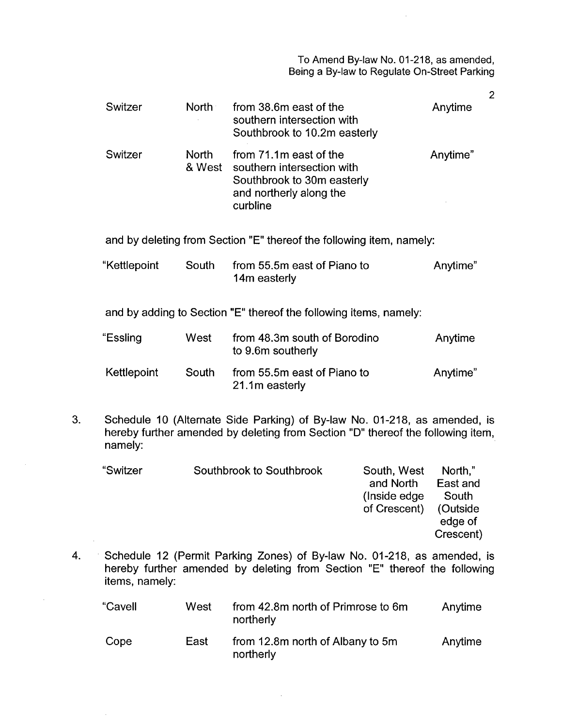To Amend By-law **No.** 01-218, as amended, Being a By-law to Regulate On-Street Parking

2

| Switzer                                                               | North                                                                | from 38.6m east of the<br>southern intersection with<br>Southbrook to 10.2m easterly                                      | Anytime  |  |  |
|-----------------------------------------------------------------------|----------------------------------------------------------------------|---------------------------------------------------------------------------------------------------------------------------|----------|--|--|
| Switzer                                                               | <b>North</b><br>& West                                               | from 71.1m east of the<br>southern intersection with<br>Southbrook to 30m easterly<br>and northerly along the<br>curbline | Anytime" |  |  |
|                                                                       | and by deleting from Section "E" thereof the following item, namely: |                                                                                                                           |          |  |  |
| "Kettlepoint                                                          | South                                                                | from 55.5m east of Piano to<br>14m easterly                                                                               | Anytime" |  |  |
| and by adding to Section "E" thereof the following items, namely:     |                                                                      |                                                                                                                           |          |  |  |
| "Essling                                                              | West                                                                 | from 48.3m south of Borodino<br>to 9.6m southerly                                                                         | Anytime  |  |  |
| Kettlepoint                                                           | South                                                                | from 55.5m east of Piano to<br>21.1m easterly                                                                             | Anytime" |  |  |
| Schodulo 10 (Alternate Side Parking) of Ry law No. 01.218, as amonded |                                                                      |                                                                                                                           |          |  |  |

3. Schedule 10 (Alternate Side Parking) of By-law No. 01-218, as amended, is hereby further amended by deleting from Section "D" thereof the following item, namely:

| Southbrook to Southbrook | South, West   | North,"   |
|--------------------------|---------------|-----------|
|                          | and North     | East and  |
|                          | (Inside edge) | South     |
|                          | of Crescent)  | (Outside  |
|                          |               | edge of   |
|                          |               | Crescent) |
|                          |               |           |

4. Schedule 12 (Permit Parking Zones) of By-law No. 01-218, as amended, is hereby further amended by deleting from Section "E" thereof the following items, namely:

| "Cavell | West | from 42.8m north of Primrose to 6m<br>northerly | Anytime |
|---------|------|-------------------------------------------------|---------|
| Cope    | East | from 12.8m north of Albany to 5m<br>northerly   | Anytime |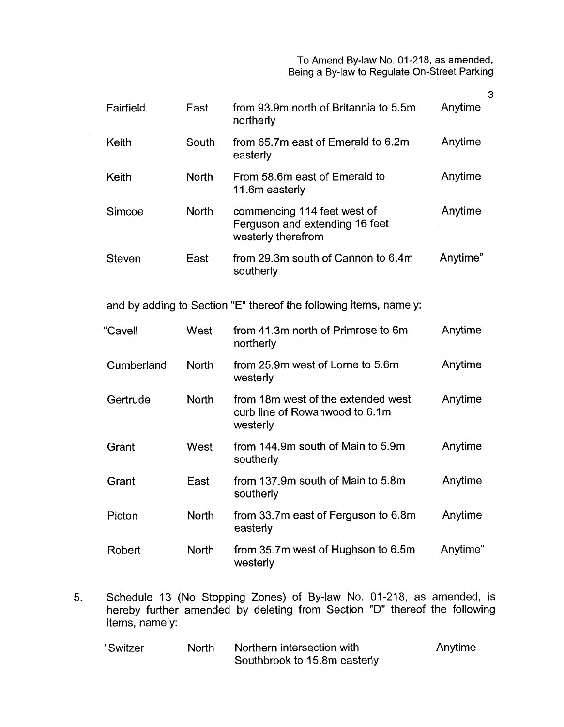To Amend By-law No. 01-218, as amended, Being a By-law to Regulate On-Street Parking

| Fairfield     | East         | from 93.9m north of Britannia to 5.5m<br>northerly                                  | Anytime  |
|---------------|--------------|-------------------------------------------------------------------------------------|----------|
| Keith         | South        | from 65.7m east of Emerald to 6.2m<br>easterly                                      | Anytime  |
| Keith         | <b>North</b> | From 58.6m east of Emerald to<br>11.6m easterly                                     | Anytime  |
| Simcoe        | <b>North</b> | commencing 114 feet west of<br>Ferguson and extending 16 feet<br>westerly therefrom | Anytime  |
| <b>Steven</b> | East         | from 29.3m south of Cannon to 6.4m<br>southerly                                     | Anytime" |
|               |              | and by adding to Section "E" thereof the following items, namely:                   |          |
| "Cavell       | West         | from 41.3m north of Primrose to 6m<br>northerly                                     | Anytime  |
| Cumberland    | <b>North</b> | from 25.9m west of Lorne to 5.6m<br>westerly                                        | Anytime  |
| Gertrude      | <b>North</b> | from 18m west of the extended west<br>curb line of Rowanwood to 6.1m<br>westerly    | Anytime  |
| Grant         | West         | from 144.9m south of Main to 5.9m<br>southerly                                      | Anytime  |
| Grant         | East         | from 137.9m south of Main to 5.8m                                                   | Anytime  |

 $\sim$ 

- Picton Robert **North North** southerly from 33.7m east of Ferguson to 6.8m easterly from 35.7m west of Hughson to 6.5m westerly Anytime Anytime"
- 5. Schedule 13 (No Stopping Zones) of By-law **No.** 01-218, as amended, is hereby further amended by deleting from Section "D" thereof the following items, namely:

| "Switzer | North. | Northern intersection with   | Anytime |
|----------|--------|------------------------------|---------|
|          |        | Southbrook to 15.8m easterly |         |

**3**